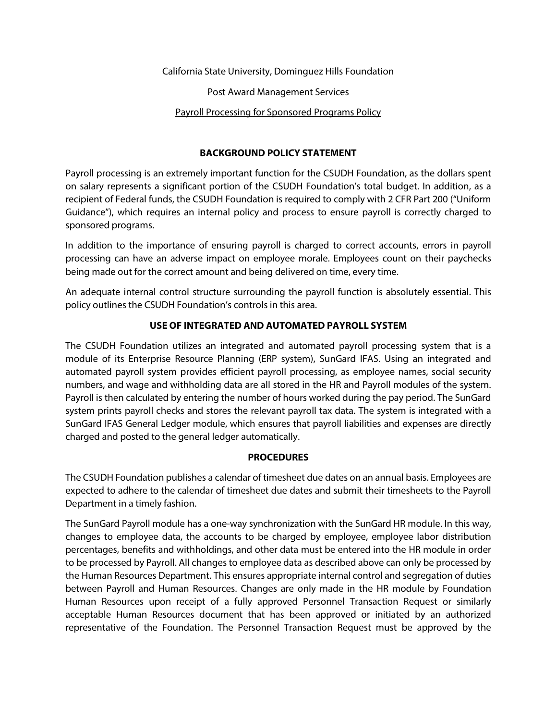California State University, Dominguez Hills Foundation

Post Award Management Services

### Payroll Processing for Sponsored Programs Policy

### **BACKGROUND POLICY STATEMENT**

Payroll processing is an extremely important function for the CSUDH Foundation, as the dollars spent on salary represents a significant portion of the CSUDH Foundation's total budget. In addition, as a recipient of Federal funds, the CSUDH Foundation is required to comply with 2 CFR Part 200 ("Uniform Guidance"), which requires an internal policy and process to ensure payroll is correctly charged to sponsored programs.

In addition to the importance of ensuring payroll is charged to correct accounts, errors in payroll processing can have an adverse impact on employee morale. Employees count on their paychecks being made out for the correct amount and being delivered on time, every time.

An adequate internal control structure surrounding the payroll function is absolutely essential. This policy outlines the CSUDH Foundation's controls in this area.

## **USE OF INTEGRATED AND AUTOMATED PAYROLL SYSTEM**

The CSUDH Foundation utilizes an integrated and automated payroll processing system that is a module of its Enterprise Resource Planning (ERP system), SunGard IFAS. Using an integrated and automated payroll system provides efficient payroll processing, as employee names, social security numbers, and wage and withholding data are all stored in the HR and Payroll modules of the system. Payroll is then calculated by entering the number of hours worked during the pay period. The SunGard system prints payroll checks and stores the relevant payroll tax data. The system is integrated with a SunGard IFAS General Ledger module, which ensures that payroll liabilities and expenses are directly charged and posted to the general ledger automatically.

### **PROCEDURES**

The CSUDH Foundation publishes a calendar of timesheet due dates on an annual basis. Employees are expected to adhere to the calendar of timesheet due dates and submit their timesheets to the Payroll Department in a timely fashion.

The SunGard Payroll module has a one-way synchronization with the SunGard HR module. In this way, changes to employee data, the accounts to be charged by employee, employee labor distribution percentages, benefits and withholdings, and other data must be entered into the HR module in order to be processed by Payroll. All changes to employee data as described above can only be processed by the Human Resources Department. This ensures appropriate internal control and segregation of duties between Payroll and Human Resources. Changes are only made in the HR module by Foundation Human Resources upon receipt of a fully approved Personnel Transaction Request or similarly acceptable Human Resources document that has been approved or initiated by an authorized representative of the Foundation. The Personnel Transaction Request must be approved by the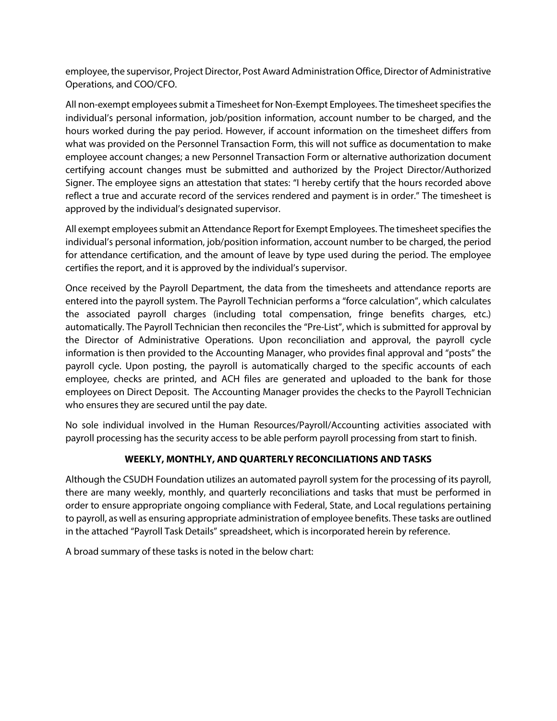employee, the supervisor, Project Director, Post Award Administration Office, Director of Administrative Operations, and COO/CFO.

All non-exempt employees submit a Timesheet for Non-Exempt Employees. The timesheet specifies the individual's personal information, job/position information, account number to be charged, and the hours worked during the pay period. However, if account information on the timesheet differs from what was provided on the Personnel Transaction Form, this will not suffice as documentation to make employee account changes; a new Personnel Transaction Form or alternative authorization document certifying account changes must be submitted and authorized by the Project Director/Authorized Signer. The employee signs an attestation that states: "I hereby certify that the hours recorded above reflect a true and accurate record of the services rendered and payment is in order." The timesheet is approved by the individual's designated supervisor.

All exempt employees submit an Attendance Report for Exempt Employees. The timesheet specifies the individual's personal information, job/position information, account number to be charged, the period for attendance certification, and the amount of leave by type used during the period. The employee certifies the report, and it is approved by the individual's supervisor.

Once received by the Payroll Department, the data from the timesheets and attendance reports are entered into the payroll system. The Payroll Technician performs a "force calculation", which calculates the associated payroll charges (including total compensation, fringe benefits charges, etc.) automatically. The Payroll Technician then reconciles the "Pre-List", which is submitted for approval by the Director of Administrative Operations. Upon reconciliation and approval, the payroll cycle information is then provided to the Accounting Manager, who provides final approval and "posts" the payroll cycle. Upon posting, the payroll is automatically charged to the specific accounts of each employee, checks are printed, and ACH files are generated and uploaded to the bank for those employees on Direct Deposit. The Accounting Manager provides the checks to the Payroll Technician who ensures they are secured until the pay date.

No sole individual involved in the Human Resources/Payroll/Accounting activities associated with payroll processing has the security access to be able perform payroll processing from start to finish.

# **WEEKLY, MONTHLY, AND QUARTERLY RECONCILIATIONS AND TASKS**

Although the CSUDH Foundation utilizes an automated payroll system for the processing of its payroll, there are many weekly, monthly, and quarterly reconciliations and tasks that must be performed in order to ensure appropriate ongoing compliance with Federal, State, and Local regulations pertaining to payroll, as well as ensuring appropriate administration of employee benefits. These tasks are outlined in the attached "Payroll Task Details" spreadsheet, which is incorporated herein by reference.

A broad summary of these tasks is noted in the below chart: